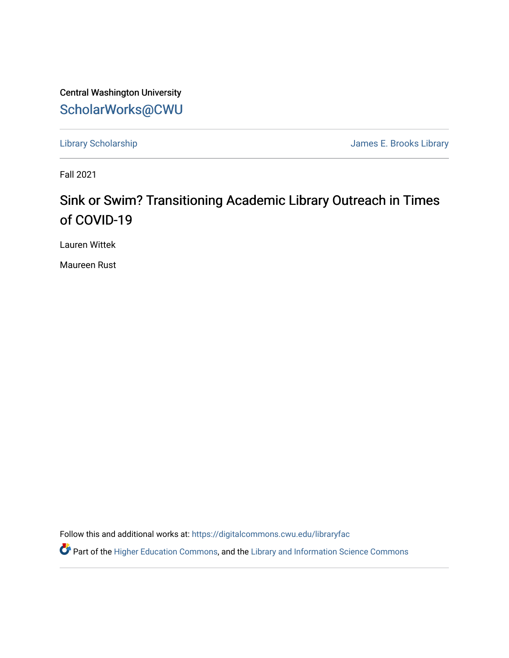Central Washington University [ScholarWorks@CWU](https://digitalcommons.cwu.edu/) 

[Library Scholarship](https://digitalcommons.cwu.edu/libraryfac) **Accord 2018** 2019 12:30 James E. Brooks Library

Fall 2021

## Sink or Swim? Transitioning Academic Library Outreach in Times of COVID-19

Lauren Wittek

Maureen Rust

Follow this and additional works at: [https://digitalcommons.cwu.edu/libraryfac](https://digitalcommons.cwu.edu/libraryfac?utm_source=digitalcommons.cwu.edu%2Flibraryfac%2F136&utm_medium=PDF&utm_campaign=PDFCoverPages) 

**P** Part of the [Higher Education Commons,](http://network.bepress.com/hgg/discipline/1245?utm_source=digitalcommons.cwu.edu%2Flibraryfac%2F136&utm_medium=PDF&utm_campaign=PDFCoverPages) and the Library and Information Science Commons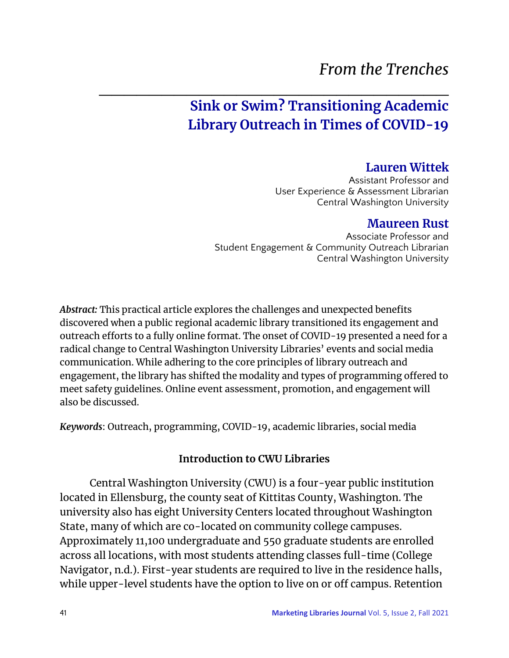# *From the Trenches*

## $\mathcal{L}_\text{max}$  , and the contract of the contract of the contract of the contract of the contract of the contract of the contract of the contract of the contract of the contract of the contract of the contract of the contr **Sink or Swim? Transitioning Academic Library Outreach in Times of COVID-19**

## **Lauren Wittek**

Assistant Professor and User Experience & Assessment Librarian Central Washington University

### **Maureen Rust**

Associate Professor and Student Engagement & Community Outreach Librarian Central Washington University

*Abstract:* This practical article explores the challenges and unexpected benefits discovered when a public regional academic library transitioned its engagement and outreach efforts to a fully online format. The onset of COVID-19 presented a need for a radical change to Central Washington University Libraries' events and social media communication. While adhering to the core principles of library outreach and engagement, the library has shifted the modality and types of programming offered to meet safety guidelines. Online event assessment, promotion, and engagement will also be discussed.

*Keywords*: Outreach, programming, COVID-19, academic libraries, social media

### **Introduction to CWU Libraries**

Central Washington University (CWU) is a four-year public institution located in Ellensburg, the county seat of Kittitas County, Washington. The university also has eight University Centers located throughout Washington State, many of which are co-located on community college campuses. Approximately 11,100 undergraduate and 550 graduate students are enrolled across all locations, with most students attending classes full-time (College Navigator, n.d.). First-year students are required to live in the residence halls, while upper-level students have the option to live on or off campus. Retention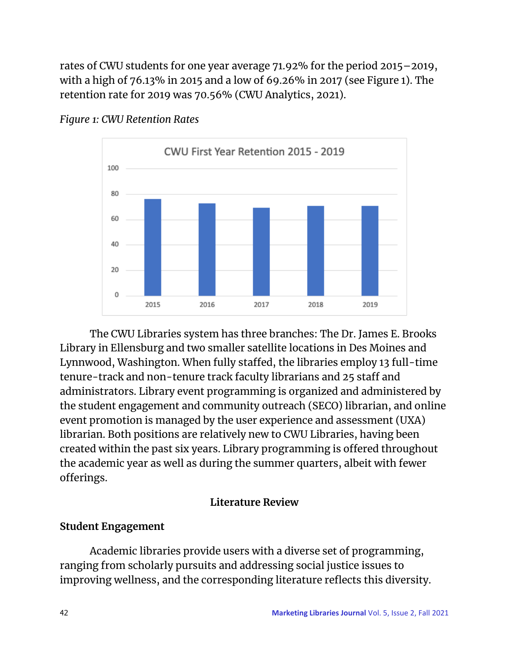rates of CWU students for one year average 71.92% for the period 2015–2019, with a high of 76.13% in 2015 and a low of 69.26% in 2017 (see Figure 1). The retention rate for 2019 was 70.56% (CWU Analytics, 2021).



#### *Figure 1: CWU Retention Rates*

The CWU Libraries system has three branches: The Dr. James E. Brooks Library in Ellensburg and two smaller satellite locations in Des Moines and Lynnwood, Washington. When fully staffed, the libraries employ 13 full-time tenure-track and non-tenure track faculty librarians and 25 staff and administrators. Library event programming is organized and administered by the student engagement and community outreach (SECO) librarian, and online event promotion is managed by the user experience and assessment (UXA) librarian. Both positions are relatively new to CWU Libraries, having been created within the past six years. Library programming is offered throughout the academic year as well as during the summer quarters, albeit with fewer offerings.

### **Literature Review**

### **Student Engagement**

Academic libraries provide users with a diverse set of programming, ranging from scholarly pursuits and addressing social justice issues to improving wellness, and the corresponding literature reflects this diversity.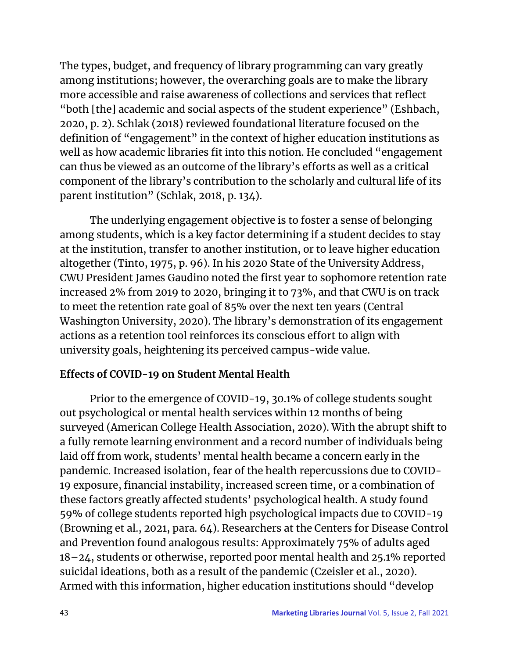The types, budget, and frequency of library programming can vary greatly among institutions; however, the overarching goals are to make the library more accessible and raise awareness of collections and services that reflect "both [the] academic and social aspects of the student experience" (Eshbach, 2020, p. 2). Schlak (2018) reviewed foundational literature focused on the definition of "engagement" in the context of higher education institutions as well as how academic libraries fit into this notion. He concluded "engagement can thus be viewed as an outcome of the library's efforts as well as a critical component of the library's contribution to the scholarly and cultural life of its parent institution" (Schlak, 2018, p. 134).

The underlying engagement objective is to foster a sense of belonging among students, which is a key factor determining if a student decides to stay at the institution, transfer to another institution, or to leave higher education altogether (Tinto, 1975, p. 96). In his 2020 State of the University Address, CWU President James Gaudino noted the first year to sophomore retention rate increased 2% from 2019 to 2020, bringing it to 73%, and that CWU is on track to meet the retention rate goal of 85% over the next ten years (Central Washington University, 2020). The library's demonstration of its engagement actions as a retention tool reinforces its conscious effort to align with university goals, heightening its perceived campus-wide value.

## **Effects of COVID-19 on Student Mental Health**

Prior to the emergence of COVID-19, 30.1% of college students sought out psychological or mental health services within 12 months of being surveyed (American College Health Association, 2020). With the abrupt shift to a fully remote learning environment and a record number of individuals being laid off from work, students' mental health became a concern early in the pandemic. Increased isolation, fear of the health repercussions due to COVID-19 exposure, financial instability, increased screen time, or a combination of these factors greatly affected students' psychological health. A study found 59% of college students reported high psychological impacts due to COVID-19 (Browning et al., 2021, para. 64). Researchers at the Centers for Disease Control and Prevention found analogous results: Approximately 75% of adults aged 18–24, students or otherwise, reported poor mental health and 25.1% reported suicidal ideations, both as a result of the pandemic (Czeisler et al., 2020). Armed with this information, higher education institutions should "develop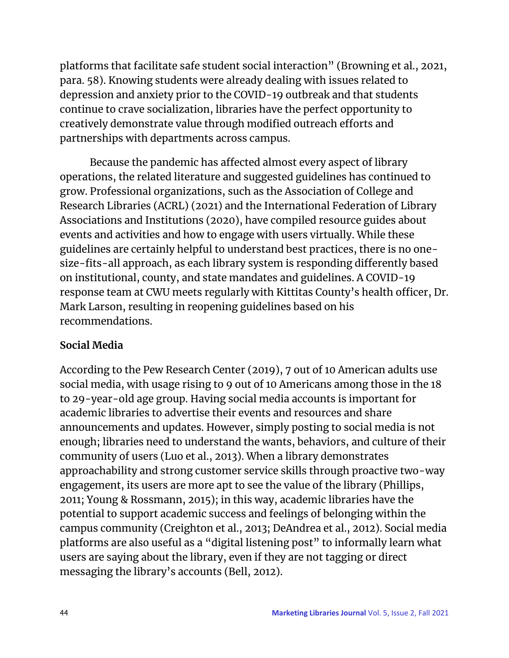platforms that facilitate safe student social interaction" (Browning et al., 2021, para. 58). Knowing students were already dealing with issues related to depression and anxiety prior to the COVID-19 outbreak and that students continue to crave socialization, libraries have the perfect opportunity to creatively demonstrate value through modified outreach efforts and partnerships with departments across campus.

 Because the pandemic has affected almost every aspect of library operations, the related literature and suggested guidelines has continued to grow. Professional organizations, such as the Association of College and Research Libraries (ACRL) (2021) and the International Federation of Library Associations and Institutions (2020), have compiled resource guides about events and activities and how to engage with users virtually. While these guidelines are certainly helpful to understand best practices, there is no onesize-fits-all approach, as each library system is responding differently based on institutional, county, and state mandates and guidelines. A COVID-19 response team at CWU meets regularly with Kittitas County's health officer, Dr. Mark Larson, resulting in reopening guidelines based on his recommendations.

## **Social Media**

According to the Pew Research Center (2019), 7 out of 10 American adults use social media, with usage rising to 9 out of 10 Americans among those in the 18 to 29-year-old age group. Having social media accounts is important for academic libraries to advertise their events and resources and share announcements and updates. However, simply posting to social media is not enough; libraries need to understand the wants, behaviors, and culture of their community of users (Luo et al., 2013). When a library demonstrates approachability and strong customer service skills through proactive two-way engagement, its users are more apt to see the value of the library (Phillips, 2011; Young & Rossmann, 2015); in this way, academic libraries have the potential to support academic success and feelings of belonging within the campus community (Creighton et al., 2013; DeAndrea et al., 2012). Social media platforms are also useful as a "digital listening post" to informally learn what users are saying about the library, even if they are not tagging or direct messaging the library's accounts (Bell, 2012).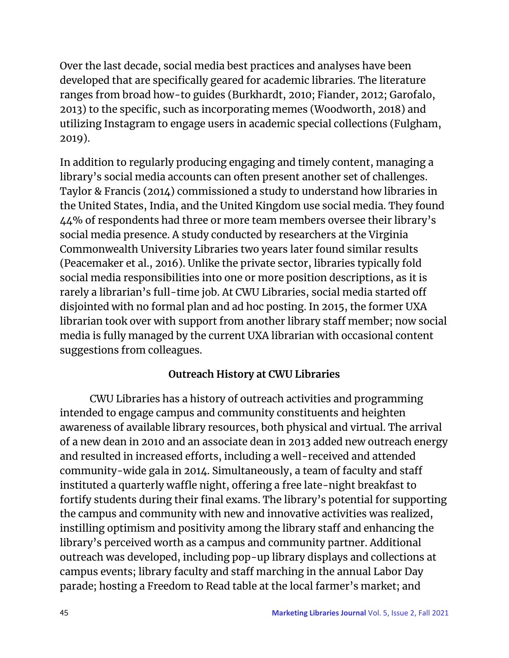Over the last decade, social media best practices and analyses have been developed that are specifically geared for academic libraries. The literature ranges from broad how-to guides (Burkhardt, 2010; Fiander, 2012; Garofalo, 2013) to the specific, such as incorporating memes (Woodworth, 2018) and utilizing Instagram to engage users in academic special collections (Fulgham, 2019).

In addition to regularly producing engaging and timely content, managing a library's social media accounts can often present another set of challenges. Taylor & Francis (2014) commissioned a study to understand how libraries in the United States, India, and the United Kingdom use social media. They found 44% of respondents had three or more team members oversee their library's social media presence. A study conducted by researchers at the Virginia Commonwealth University Libraries two years later found similar results (Peacemaker et al., 2016). Unlike the private sector, libraries typically fold social media responsibilities into one or more position descriptions, as it is rarely a librarian's full-time job. At CWU Libraries, social media started off disjointed with no formal plan and ad hoc posting. In 2015, the former UXA librarian took over with support from another library staff member; now social media is fully managed by the current UXA librarian with occasional content suggestions from colleagues.

## **Outreach History at CWU Libraries**

 CWU Libraries has a history of outreach activities and programming intended to engage campus and community constituents and heighten awareness of available library resources, both physical and virtual. The arrival of a new dean in 2010 and an associate dean in 2013 added new outreach energy and resulted in increased efforts, including a well-received and attended community-wide gala in 2014. Simultaneously, a team of faculty and staff instituted a quarterly waffle night, offering a free late-night breakfast to fortify students during their final exams. The library's potential for supporting the campus and community with new and innovative activities was realized, instilling optimism and positivity among the library staff and enhancing the library's perceived worth as a campus and community partner. Additional outreach was developed, including pop-up library displays and collections at campus events; library faculty and staff marching in the annual Labor Day parade; hosting a Freedom to Read table at the local farmer's market; and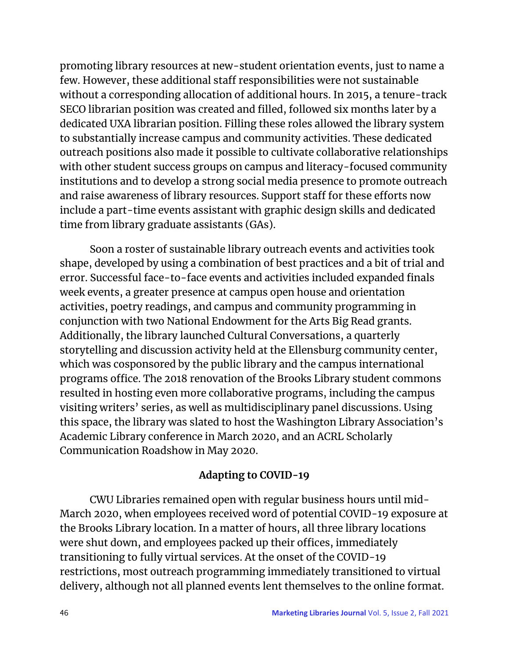promoting library resources at new-student orientation events, just to name a few. However, these additional staff responsibilities were not sustainable without a corresponding allocation of additional hours. In 2015, a tenure-track SECO librarian position was created and filled, followed six months later by a dedicated UXA librarian position. Filling these roles allowed the library system to substantially increase campus and community activities. These dedicated outreach positions also made it possible to cultivate collaborative relationships with other student success groups on campus and literacy-focused community institutions and to develop a strong social media presence to promote outreach and raise awareness of library resources. Support staff for these efforts now include a part-time events assistant with graphic design skills and dedicated time from library graduate assistants (GAs).

Soon a roster of sustainable library outreach events and activities took shape, developed by using a combination of best practices and a bit of trial and error. Successful face-to-face events and activities included expanded finals week events, a greater presence at campus open house and orientation activities, poetry readings, and campus and community programming in conjunction with two National Endowment for the Arts Big Read grants. Additionally, the library launched Cultural Conversations, a quarterly storytelling and discussion activity held at the Ellensburg community center, which was cosponsored by the public library and the campus international programs office. The 2018 renovation of the Brooks Library student commons resulted in hosting even more collaborative programs, including the campus visiting writers' series, as well as multidisciplinary panel discussions. Using this space, the library was slated to host the Washington Library Association's Academic Library conference in March 2020, and an ACRL Scholarly Communication Roadshow in May 2020.

### **Adapting to COVID-19**

CWU Libraries remained open with regular business hours until mid-March 2020, when employees received word of potential COVID-19 exposure at the Brooks Library location. In a matter of hours, all three library locations were shut down, and employees packed up their offices, immediately transitioning to fully virtual services. At the onset of the COVID-19 restrictions, most outreach programming immediately transitioned to virtual delivery, although not all planned events lent themselves to the online format.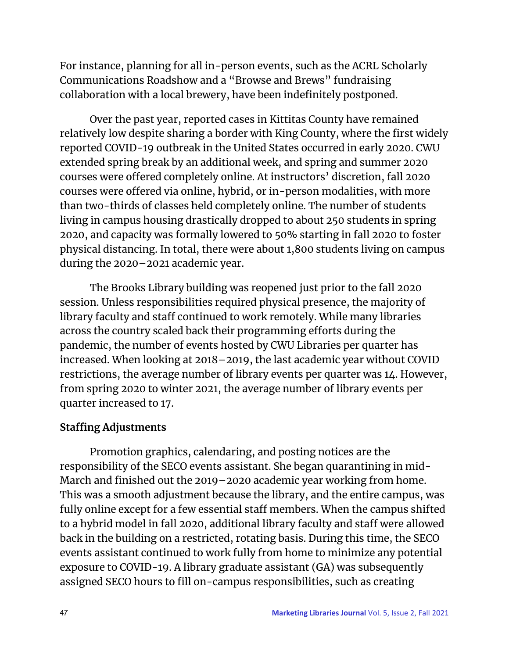For instance, planning for all in-person events, such as the ACRL Scholarly Communications Roadshow and a "Browse and Brews" fundraising collaboration with a local brewery, have been indefinitely postponed.

Over the past year, reported cases in Kittitas County have remained relatively low despite sharing a border with King County, where the first widely reported COVID-19 outbreak in the United States occurred in early 2020. CWU extended spring break by an additional week, and spring and summer 2020 courses were offered completely online. At instructors' discretion, fall 2020 courses were offered via online, hybrid, or in-person modalities, with more than two-thirds of classes held completely online. The number of students living in campus housing drastically dropped to about 250 students in spring 2020, and capacity was formally lowered to 50% starting in fall 2020 to foster physical distancing. In total, there were about 1,800 students living on campus during the 2020–2021 academic year.

The Brooks Library building was reopened just prior to the fall 2020 session. Unless responsibilities required physical presence, the majority of library faculty and staff continued to work remotely. While many libraries across the country scaled back their programming efforts during the pandemic, the number of events hosted by CWU Libraries per quarter has increased. When looking at 2018–2019, the last academic year without COVID restrictions, the average number of library events per quarter was 14. However, from spring 2020 to winter 2021, the average number of library events per quarter increased to 17.

## **Staffing Adjustments**

 Promotion graphics, calendaring, and posting notices are the responsibility of the SECO events assistant. She began quarantining in mid-March and finished out the 2019–2020 academic year working from home. This was a smooth adjustment because the library, and the entire campus, was fully online except for a few essential staff members. When the campus shifted to a hybrid model in fall 2020, additional library faculty and staff were allowed back in the building on a restricted, rotating basis. During this time, the SECO events assistant continued to work fully from home to minimize any potential exposure to COVID-19. A library graduate assistant (GA) was subsequently assigned SECO hours to fill on-campus responsibilities, such as creating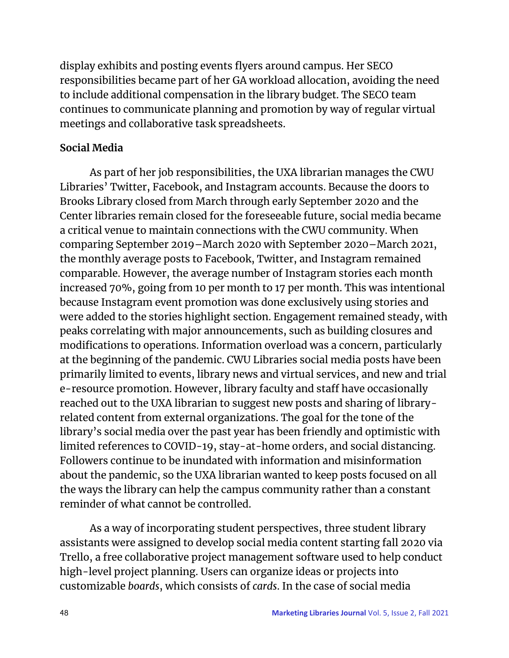display exhibits and posting events flyers around campus. Her SECO responsibilities became part of her GA workload allocation, avoiding the need to include additional compensation in the library budget. The SECO team continues to communicate planning and promotion by way of regular virtual meetings and collaborative task spreadsheets.

## **Social Media**

As part of her job responsibilities, the UXA librarian manages the CWU Libraries' Twitter, Facebook, and Instagram accounts. Because the doors to Brooks Library closed from March through early September 2020 and the Center libraries remain closed for the foreseeable future, social media became a critical venue to maintain connections with the CWU community. When comparing September 2019–March 2020 with September 2020–March 2021, the monthly average posts to Facebook, Twitter, and Instagram remained comparable. However, the average number of Instagram stories each month increased 70%, going from 10 per month to 17 per month. This was intentional because Instagram event promotion was done exclusively using stories and were added to the stories highlight section. Engagement remained steady, with peaks correlating with major announcements, such as building closures and modifications to operations. Information overload was a concern, particularly at the beginning of the pandemic. CWU Libraries social media posts have been primarily limited to events, library news and virtual services, and new and trial e-resource promotion. However, library faculty and staff have occasionally reached out to the UXA librarian to suggest new posts and sharing of libraryrelated content from external organizations. The goal for the tone of the library's social media over the past year has been friendly and optimistic with limited references to COVID-19, stay-at-home orders, and social distancing. Followers continue to be inundated with information and misinformation about the pandemic, so the UXA librarian wanted to keep posts focused on all the ways the library can help the campus community rather than a constant reminder of what cannot be controlled.

As a way of incorporating student perspectives, three student library assistants were assigned to develop social media content starting fall 2020 via Trello, a free collaborative project management software used to help conduct high-level project planning. Users can organize ideas or projects into customizable *boards*, which consists of *cards*. In the case of social media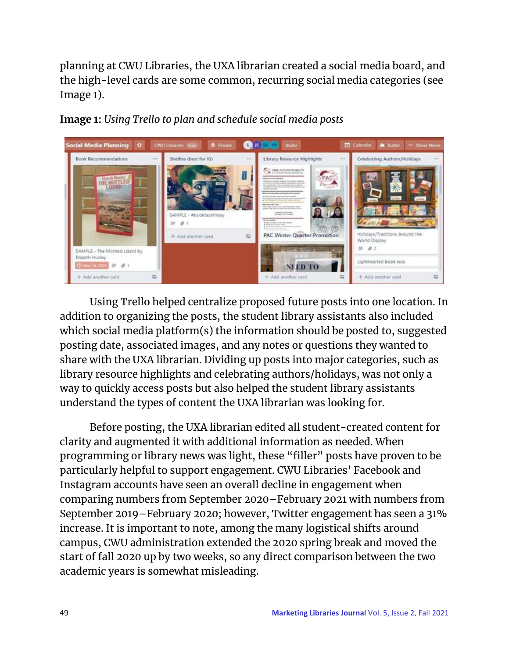planning at CWU Libraries, the UXA librarian created a social media board, and the high-level cards are some common, recurring social media categories (see Image 1).



**Image 1:** *Using Trello to plan and schedule social media posts*

Using Trello helped centralize proposed future posts into one location. In addition to organizing the posts, the student library assistants also included which social media platform(s) the information should be posted to, suggested posting date, associated images, and any notes or questions they wanted to share with the UXA librarian. Dividing up posts into major categories, such as library resource highlights and celebrating authors/holidays, was not only a way to quickly access posts but also helped the student library assistants understand the types of content the UXA librarian was looking for.

Before posting, the UXA librarian edited all student-created content for clarity and augmented it with additional information as needed. When programming or library news was light, these "filler" posts have proven to be particularly helpful to support engagement. CWU Libraries' Facebook and Instagram accounts have seen an overall decline in engagement when comparing numbers from September 2020–February 2021 with numbers from September 2019–February 2020; however, Twitter engagement has seen a 31% increase. It is important to note, among the many logistical shifts around campus, CWU administration extended the 2020 spring break and moved the start of fall 2020 up by two weeks, so any direct comparison between the two academic years is somewhat misleading.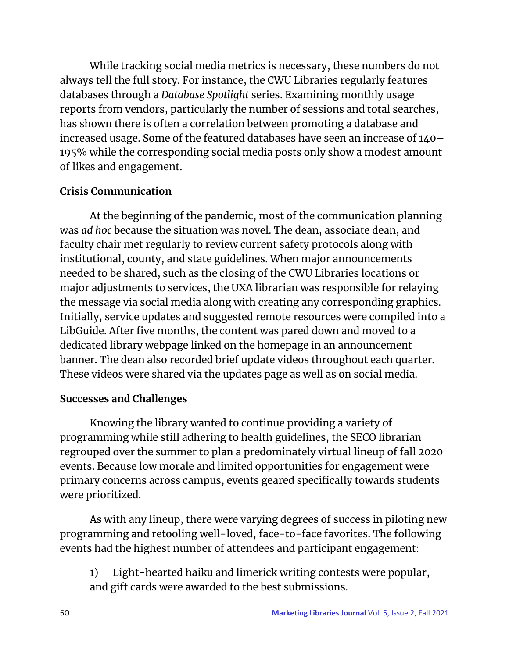While tracking social media metrics is necessary, these numbers do not always tell the full story. For instance, the CWU Libraries regularly features databases through a *Database Spotlight* series. Examining monthly usage reports from vendors, particularly the number of sessions and total searches, has shown there is often a correlation between promoting a database and increased usage. Some of the featured databases have seen an increase of 140– 195% while the corresponding social media posts only show a modest amount of likes and engagement.

## **Crisis Communication**

 At the beginning of the pandemic, most of the communication planning was *ad hoc* because the situation was novel. The dean, associate dean, and faculty chair met regularly to review current safety protocols along with institutional, county, and state guidelines. When major announcements needed to be shared, such as the closing of the CWU Libraries locations or major adjustments to services, the UXA librarian was responsible for relaying the message via social media along with creating any corresponding graphics. Initially, service updates and suggested remote resources were compiled into a LibGuide. After five months, the content was pared down and moved to a dedicated library webpage linked on the homepage in an announcement banner. The dean also recorded brief update videos throughout each quarter. These videos were shared via the updates page as well as on social media.

## **Successes and Challenges**

Knowing the library wanted to continue providing a variety of programming while still adhering to health guidelines, the SECO librarian regrouped over the summer to plan a predominately virtual lineup of fall 2020 events. Because low morale and limited opportunities for engagement were primary concerns across campus, events geared specifically towards students were prioritized.

As with any lineup, there were varying degrees of success in piloting new programming and retooling well-loved, face-to-face favorites. The following events had the highest number of attendees and participant engagement:

1) Light-hearted haiku and limerick writing contests were popular, and gift cards were awarded to the best submissions.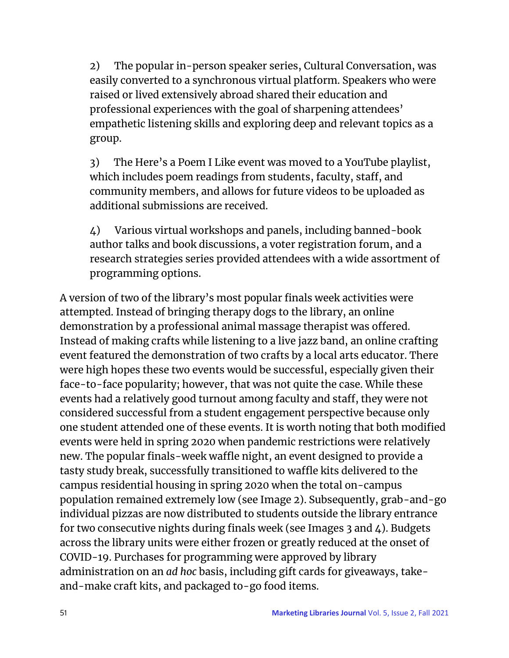2) The popular in-person speaker series, Cultural Conversation, was easily converted to a synchronous virtual platform. Speakers who were raised or lived extensively abroad shared their education and professional experiences with the goal of sharpening attendees' empathetic listening skills and exploring deep and relevant topics as a group.

3) The Here's a Poem I Like event was moved to a YouTube playlist, which includes poem readings from students, faculty, staff, and community members, and allows for future videos to be uploaded as additional submissions are received.

4) Various virtual workshops and panels, including banned-book author talks and book discussions, a voter registration forum, and a research strategies series provided attendees with a wide assortment of programming options.

A version of two of the library's most popular finals week activities were attempted. Instead of bringing therapy dogs to the library, an online demonstration by a professional animal massage therapist was offered. Instead of making crafts while listening to a live jazz band, an online crafting event featured the demonstration of two crafts by a local arts educator. There were high hopes these two events would be successful, especially given their face-to-face popularity; however, that was not quite the case. While these events had a relatively good turnout among faculty and staff, they were not considered successful from a student engagement perspective because only one student attended one of these events. It is worth noting that both modified events were held in spring 2020 when pandemic restrictions were relatively new. The popular finals-week waffle night, an event designed to provide a tasty study break, successfully transitioned to waffle kits delivered to the campus residential housing in spring 2020 when the total on-campus population remained extremely low (see Image 2). Subsequently, grab-and-go individual pizzas are now distributed to students outside the library entrance for two consecutive nights during finals week (see Images 3 and 4). Budgets across the library units were either frozen or greatly reduced at the onset of COVID-19. Purchases for programming were approved by library administration on an *ad hoc* basis, including gift cards for giveaways, takeand-make craft kits, and packaged to-go food items.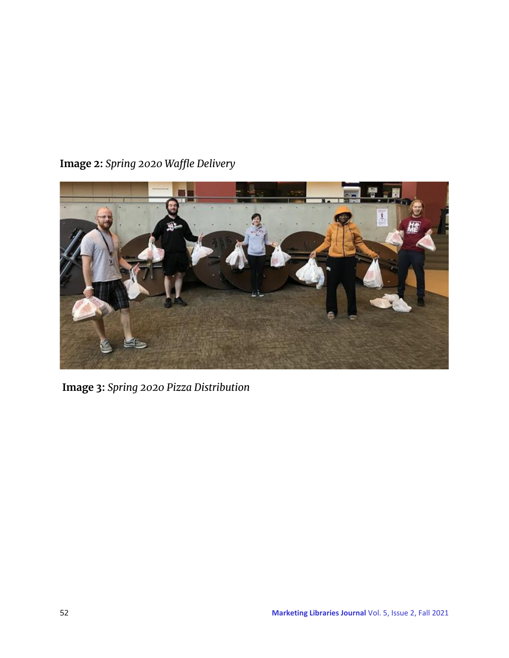## **Image 2:** *Spring 2020 Waffle Delivery*



**Image 3:** *Spring 2020 Pizza Distribution*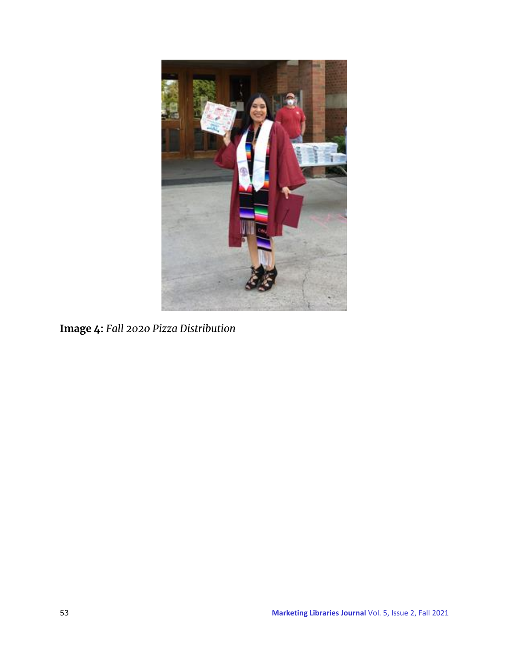

**Image 4:** *Fall 2020 Pizza Distribution*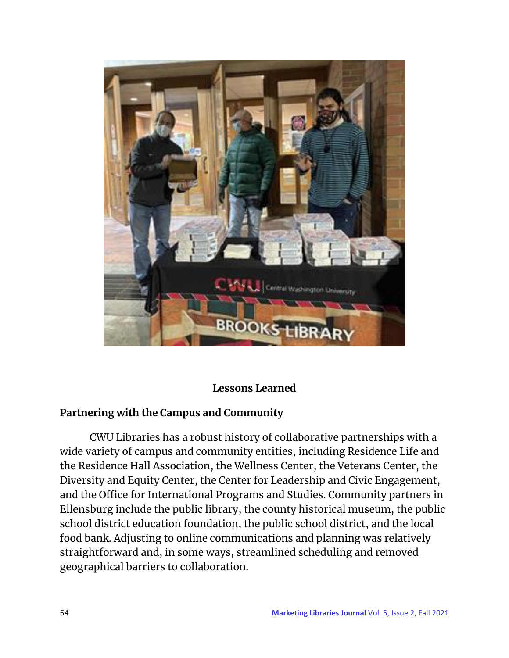

### **Lessons Learned**

### **Partnering with the Campus and Community**

 CWU Libraries has a robust history of collaborative partnerships with a wide variety of campus and community entities, including Residence Life and the Residence Hall Association, the Wellness Center, the Veterans Center, the Diversity and Equity Center, the Center for Leadership and Civic Engagement, and the Office for International Programs and Studies. Community partners in Ellensburg include the public library, the county historical museum, the public school district education foundation, the public school district, and the local food bank. Adjusting to online communications and planning was relatively straightforward and, in some ways, streamlined scheduling and removed geographical barriers to collaboration.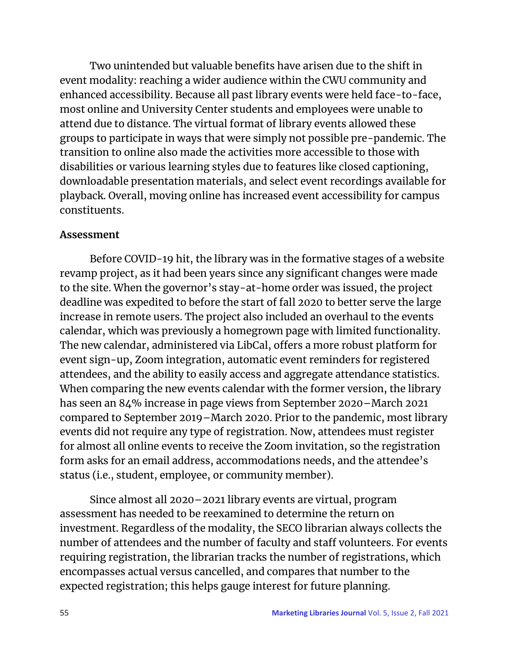Two unintended but valuable benefits have arisen due to the shift in event modality: reaching a wider audience within the CWU community and enhanced accessibility. Because all past library events were held face-to-face, most online and University Center students and employees were unable to attend due to distance. The virtual format of library events allowed these groups to participate in ways that were simply not possible pre-pandemic. The transition to online also made the activities more accessible to those with disabilities or various learning styles due to features like closed captioning, downloadable presentation materials, and select event recordings available for playback. Overall, moving online has increased event accessibility for campus constituents.

#### **Assessment**

 Before COVID-19 hit, the library was in the formative stages of a website revamp project, as it had been years since any significant changes were made to the site. When the governor's stay-at-home order was issued, the project deadline was expedited to before the start of fall 2020 to better serve the large increase in remote users. The project also included an overhaul to the events calendar, which was previously a homegrown page with limited functionality. The new calendar, administered via LibCal, offers a more robust platform for event sign-up, Zoom integration, automatic event reminders for registered attendees, and the ability to easily access and aggregate attendance statistics. When comparing the new events calendar with the former version, the library has seen an 84% increase in page views from September 2020–March 2021 compared to September 2019–March 2020. Prior to the pandemic, most library events did not require any type of registration. Now, attendees must register for almost all online events to receive the Zoom invitation, so the registration form asks for an email address, accommodations needs, and the attendee's status (i.e., student, employee, or community member).

 Since almost all 2020–2021 library events are virtual, program assessment has needed to be reexamined to determine the return on investment. Regardless of the modality, the SECO librarian always collects the number of attendees and the number of faculty and staff volunteers. For events requiring registration, the librarian tracks the number of registrations, which encompasses actual versus cancelled, and compares that number to the expected registration; this helps gauge interest for future planning.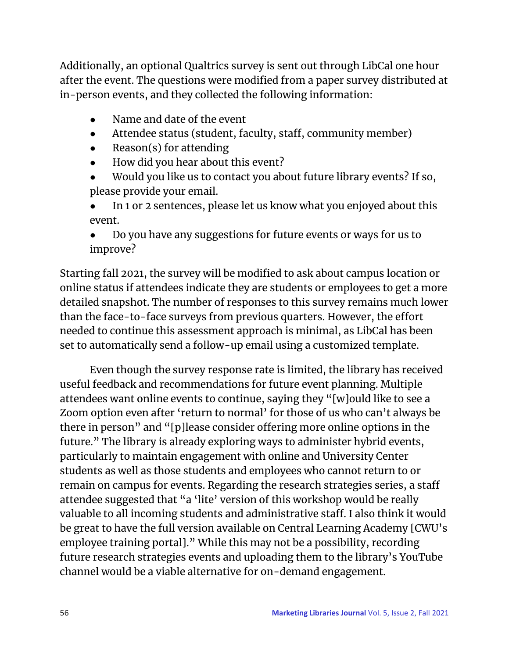Additionally, an optional Qualtrics survey is sent out through LibCal one hour after the event. The questions were modified from a paper survey distributed at in-person events, and they collected the following information:

- Name and date of the event
- Attendee status (student, faculty, staff, community member)
- Reason(s) for attending
- How did you hear about this event?
- Would you like us to contact you about future library events? If so, please provide your email.
- In 1 or 2 sentences, please let us know what you enjoyed about this event.
- Do you have any suggestions for future events or ways for us to improve?

Starting fall 2021, the survey will be modified to ask about campus location or online status if attendees indicate they are students or employees to get a more detailed snapshot. The number of responses to this survey remains much lower than the face-to-face surveys from previous quarters. However, the effort needed to continue this assessment approach is minimal, as LibCal has been set to automatically send a follow-up email using a customized template.

Even though the survey response rate is limited, the library has received useful feedback and recommendations for future event planning. Multiple attendees want online events to continue, saying they "[w]ould like to see a Zoom option even after 'return to normal' for those of us who can't always be there in person" and "[p]lease consider offering more online options in the future." The library is already exploring ways to administer hybrid events, particularly to maintain engagement with online and University Center students as well as those students and employees who cannot return to or remain on campus for events. Regarding the research strategies series, a staff attendee suggested that "a 'lite' version of this workshop would be really valuable to all incoming students and administrative staff. I also think it would be great to have the full version available on Central Learning Academy [CWU's employee training portal]." While this may not be a possibility, recording future research strategies events and uploading them to the library's YouTube channel would be a viable alternative for on-demand engagement.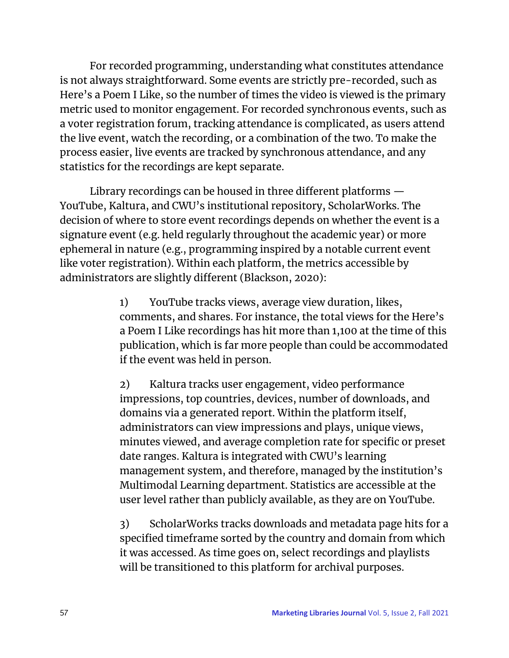For recorded programming, understanding what constitutes attendance is not always straightforward. Some events are strictly pre-recorded, such as Here's a Poem I Like, so the number of times the video is viewed is the primary metric used to monitor engagement. For recorded synchronous events, such as a voter registration forum, tracking attendance is complicated, as users attend the live event, watch the recording, or a combination of the two. To make the process easier, live events are tracked by synchronous attendance, and any statistics for the recordings are kept separate.

Library recordings can be housed in three different platforms — YouTube, Kaltura, and CWU's institutional repository, ScholarWorks. The decision of where to store event recordings depends on whether the event is a signature event (e.g. held regularly throughout the academic year) or more ephemeral in nature (e.g., programming inspired by a notable current event like voter registration). Within each platform, the metrics accessible by administrators are slightly different (Blackson, 2020):

> 1) YouTube tracks views, average view duration, likes, comments, and shares. For instance, the total views for the Here's a Poem I Like recordings has hit more than 1,100 at the time of this publication, which is far more people than could be accommodated if the event was held in person.

> 2) Kaltura tracks user engagement, video performance impressions, top countries, devices, number of downloads, and domains via a generated report. Within the platform itself, administrators can view impressions and plays, unique views, minutes viewed, and average completion rate for specific or preset date ranges. Kaltura is integrated with CWU's learning management system, and therefore, managed by the institution's Multimodal Learning department. Statistics are accessible at the user level rather than publicly available, as they are on YouTube.

> 3) ScholarWorks tracks downloads and metadata page hits for a specified timeframe sorted by the country and domain from which it was accessed. As time goes on, select recordings and playlists will be transitioned to this platform for archival purposes.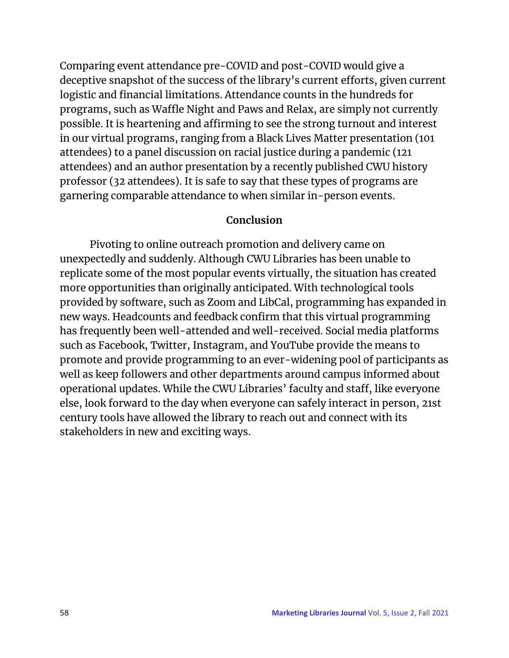Comparing event attendance pre-COVID and post-COVID would give a deceptive snapshot of the success of the library's current efforts, given current logistic and financial limitations. Attendance counts in the hundreds for programs, such as Waffle Night and Paws and Relax, are simply not currently possible. It is heartening and affirming to see the strong turnout and interest in our virtual programs, ranging from a Black Lives Matter presentation (101 attendees) to a panel discussion on racial justice during a pandemic (121 attendees) and an author presentation by a recently published CWU history professor (32 attendees). It is safe to say that these types of programs are garnering comparable attendance to when similar in-person events.

#### **Conclusion**

Pivoting to online outreach promotion and delivery came on unexpectedly and suddenly. Although CWU Libraries has been unable to replicate some of the most popular events virtually, the situation has created more opportunities than originally anticipated. With technological tools provided by software, such as Zoom and LibCal, programming has expanded in new ways. Headcounts and feedback confirm that this virtual programming has frequently been well-attended and well-received. Social media platforms such as Facebook, Twitter, Instagram, and YouTube provide the means to promote and provide programming to an ever-widening pool of participants as well as keep followers and other departments around campus informed about operational updates. While the CWU Libraries' faculty and staff, like everyone else, look forward to the day when everyone can safely interact in person, 21st century tools have allowed the library to reach out and connect with its stakeholders in new and exciting ways.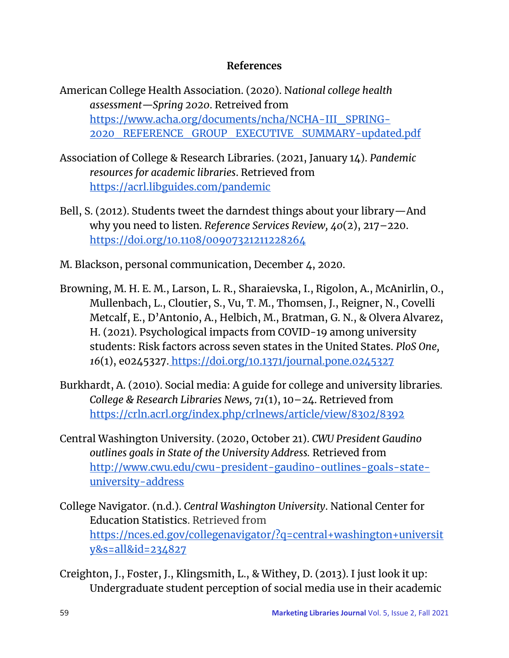### **References**

- American College Health Association. (2020). N*ational college health assessment—Spring 2020*. Retreived fro[m](https://www.acha.org/documents/ncha/NCHA-III_SPRING-2020_REFERENCE_GROUP_EXECUTIVE_SUMMARY-updated.pdf) [https://www.acha.org/documents/ncha/NCHA-III\\_SPRING-](https://www.acha.org/documents/ncha/NCHA-III_SPRING-2020_REFERENCE_GROUP_EXECUTIVE_SUMMARY-updated.pdf)[2020\\_REFERENCE\\_GROUP\\_EXECUTIVE\\_SUMMARY-updated.pdf](https://www.acha.org/documents/ncha/NCHA-III_SPRING-2020_REFERENCE_GROUP_EXECUTIVE_SUMMARY-updated.pdf)
- Association of College & Research Libraries. (2021, January 14). *Pandemic resources for academic libraries*. Retrieved fro[m](https://acrl.libguides.com/pandemic) <https://acrl.libguides.com/pandemic>
- Bell, S. (2012). Students tweet the darndest things about your library—And why you need to listen. *Reference Services Review, 40*(2), 217–220[.](https://doi.org/10.1108/00907321211228264) <https://doi.org/10.1108/00907321211228264>
- M. Blackson, personal communication, December 4, 2020.
- Browning, M. H. E. M., Larson, L. R., Sharaievska, I., Rigolon, A., McAnirlin, O., Mullenbach, L., Cloutier, S., Vu, T. M., Thomsen, J., Reigner, N., Covelli Metcalf, E., D'Antonio, A., Helbich, M., Bratman, G. N., & Olvera Alvarez, H. (2021). Psychological impacts from COVID-19 among university students: Risk factors across seven states in the United States. *PloS One, 16*(1), e0245327. <https://doi.org/10.1371/journal.pone.0245327>
- Burkhardt, A. (2010). Social media: A guide for college and university libraries*. College & Research Libraries News, 71*(1), 10–24. Retrieved fro[m](https://crln.acrl.org/index.php/crlnews/article/view/8302/8392) <https://crln.acrl.org/index.php/crlnews/article/view/8302/8392>
- Central Washington University. (2020, October 21). *CWU President Gaudino outlines goals in State of the University Address.* Retrieved fro[m](http://www.cwu.edu/cwu-president-gaudino-outlines-goals-state-university-address) [http://www.cwu.edu/cwu-president-gaudino-outlines-goals-state](http://www.cwu.edu/cwu-president-gaudino-outlines-goals-state-university-address)[university-address](http://www.cwu.edu/cwu-president-gaudino-outlines-goals-state-university-address)
- College Navigator. (n.d.). *Central Washington University*. National Center for Education Statistics. Retrieved from [https://nces.ed.gov/collegenavigator/?q=central+washington+universit](https://nces.ed.gov/collegenavigator/?q=central+washington+university&s=all&id=234827) [y&s=all&id=234827](https://nces.ed.gov/collegenavigator/?q=central+washington+university&s=all&id=234827)
- Creighton, J., Foster, J., Klingsmith, L., & Withey, D. (2013). I just look it up: Undergraduate student perception of social media use in their academic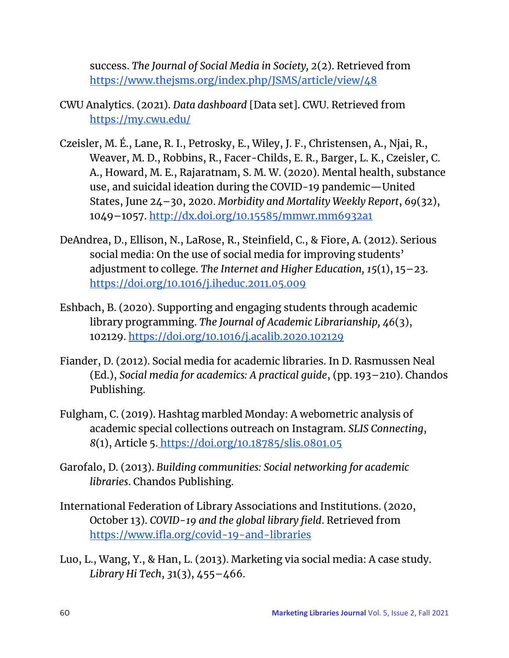success. *The Journal of Social Media in Society, 2*(2). Retrieved fro[m](https://www.thejsms.org/index.php/JSMS/article/view/48) <https://www.thejsms.org/index.php/JSMS/article/view/48>

- CWU Analytics. (2021). *Data dashboard* [Data set]. CWU. Retrieved fro[m](https://my.cwu.edu/) <https://my.cwu.edu/>
- Czeisler, M. É., Lane, R. I., Petrosky, E., Wiley, J. F., Christensen, A., Njai, R., Weaver, M. D., Robbins, R., Facer-Childs, E. R., Barger, L. K., Czeisler, C. A., Howard, M. E., Rajaratnam, S. M. W. (2020). Mental health, substance use, and suicidal ideation during the COVID-19 pandemic—United States, June 24–30, 2020. *Morbidity and Mortality Weekly Report*, *69*(32), 1049–1057. <http://dx.doi.org/10.15585/mmwr.mm6932a1>
- DeAndrea, D., Ellison, N., LaRose, R., Steinfield, C., & Fiore, A. (2012). Serious social media: On the use of social media for improving students' adjustment to college. *The Internet and Higher Education, 15*(1), 15–23[.](https://doi.org/10.1016/j.iheduc.2011.05.009) <https://doi.org/10.1016/j.iheduc.2011.05.009>
- Eshbach, B. (2020). Supporting and engaging students through academic library programming. *The Journal of Academic Librarianship, 46*(3), 102129[.](https://doi.org/10.1016/j.acalib.2020.102129) <https://doi.org/10.1016/j.acalib.2020.102129>
- Fiander, D. (2012). Social media for academic libraries. In D. Rasmussen Neal (Ed.), *Social media for academics: A practical guide*, (pp. 193–210). Chandos Publishing.
- Fulgham, C. (2019). Hashtag marbled Monday: A webometric analysis of academic special collections outreach on Instagram. *SLIS Connecting*, *8*(1), Article 5. <https://doi.org/10.18785/slis.0801.05>
- Garofalo, D. (2013). *Building communities: Social networking for academic libraries*. Chandos Publishing.
- International Federation of Library Associations and Institutions. (2020, October 13). *COVID-19 and the global library field*. Retrieved fro[m](https://www.ifla.org/covid-19-and-libraries) <https://www.ifla.org/covid-19-and-libraries>
- Luo, L., Wang, Y., & Han, L. (2013). Marketing via social media: A case study. *Library Hi Tech*, *3*1(3), 455–466.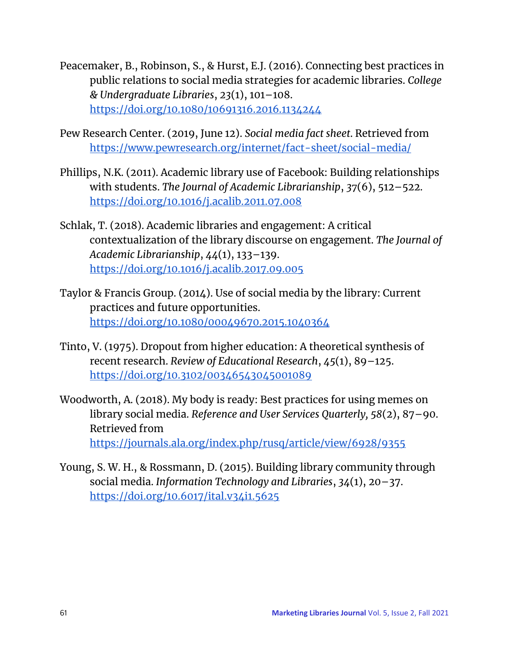- Peacemaker, B., Robinson, S., & Hurst, E.J. (2016). Connecting best practices in public relations to social media strategies for academic libraries. *College & Undergraduate Libraries*, *23*(1), 101–108[.](https://doi.org/10.1080/10691316.2016.1134244) <https://doi.org/10.1080/10691316.2016.1134244>
- Pew Research Center. (2019, June 12). *Social media fact sheet*. Retrieved fro[m](https://www.pewresearch.org/internet/fact-sheet/social-media/) <https://www.pewresearch.org/internet/fact-sheet/social-media/>
- Phillips, N.K. (2011). Academic library use of Facebook: Building relationships with students. *The Journal of Academic Librarianship*, *37*(6), 512–522[.](https://doi.org/10.1016/j.acalib.2011.07.008) <https://doi.org/10.1016/j.acalib.2011.07.008>
- Schlak, T. (2018). Academic libraries and engagement: A critical contextualization of the library discourse on engagement. *The Journal of Academic Librarianship*, *44*(1), 133–139[.](https://doi.org/10.1016/j.acalib.2017.09.005) <https://doi.org/10.1016/j.acalib.2017.09.005>
- Taylor & Francis Group. (2014). Use of social media by the library: Current practices and future opportunities[.](https://doi.org/10.1080/00049670.2015.1040364) <https://doi.org/10.1080/00049670.2015.1040364>
- Tinto, V. (1975). Dropout from higher education: A theoretical synthesis of recent research. *Review of Educational Research*, *45*(1), 89–125[.](https://doi.org/10.3102/00346543045001089) <https://doi.org/10.3102/00346543045001089>
- Woodworth, A. (2018). My body is ready: Best practices for using memes on library social media. *Reference and User Services Quarterly, 58*(2), 87–90. Retrieved fro[m](https://journals.ala.org/index.php/rusq/article/view/6928/9355) <https://journals.ala.org/index.php/rusq/article/view/6928/9355>
- Young, S. W. H., & Rossmann, D. (2015). Building library community through social media. *Information Technology and Libraries*, *34*(1), 20–37[.](https://doi.org/10.6017/ital.v34i1.5625) <https://doi.org/10.6017/ital.v34i1.5625>